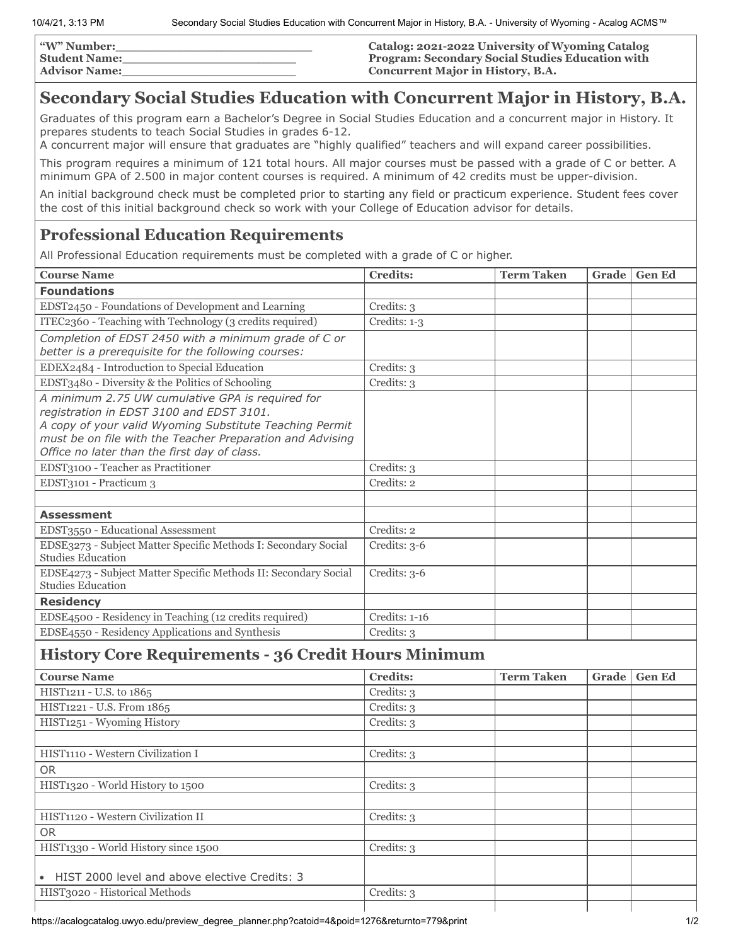10/4/21, 3:13 PM Secondary Social Studies Education with Concurrent Major in History, B.A. - University of Wyoming - Acalog ACMS™

| "W" Number:          | Catalog: 2021-2022 University of Wyoming Catalog        |
|----------------------|---------------------------------------------------------|
| <b>Student Name:</b> | <b>Program: Secondary Social Studies Education with</b> |
| <b>Advisor Name:</b> | <b>Concurrent Major in History, B.A.</b>                |

# **Secondary Social Studies Education with Concurrent Major in History, B.A.**

Graduates of this program earn a Bachelor's Degree in Social Studies Education and a concurrent major in History. It prepares students to teach Social Studies in grades 6-12.

A concurrent major will ensure that graduates are "highly qualified" teachers and will expand career possibilities.

This program requires a minimum of 121 total hours. All major courses must be passed with a grade of C or better. A minimum GPA of 2.500 in major content courses is required. A minimum of 42 credits must be upper-division.

An initial background check must be completed prior to starting any field or practicum experience. Student fees cover the cost of this initial background check so work with your College of Education advisor for details.

## **Professional Education Requirements**

All Professional Education requirements must be completed with a grade of C or higher.

| <b>Course Name</b>                                                                                                                                                                                                                                                   | <b>Credits:</b> | <b>Term Taken</b> | Grade | <b>Gen Ed</b> |
|----------------------------------------------------------------------------------------------------------------------------------------------------------------------------------------------------------------------------------------------------------------------|-----------------|-------------------|-------|---------------|
| <b>Foundations</b>                                                                                                                                                                                                                                                   |                 |                   |       |               |
| EDST2450 - Foundations of Development and Learning                                                                                                                                                                                                                   | Credits: 3      |                   |       |               |
| ITEC2360 - Teaching with Technology (3 credits required)                                                                                                                                                                                                             | Credits: 1-3    |                   |       |               |
| Completion of EDST 2450 with a minimum grade of C or<br>better is a prerequisite for the following courses:                                                                                                                                                          |                 |                   |       |               |
| EDEX2484 - Introduction to Special Education                                                                                                                                                                                                                         | Credits: 3      |                   |       |               |
| EDST3480 - Diversity & the Politics of Schooling                                                                                                                                                                                                                     | Credits: 3      |                   |       |               |
| A minimum 2.75 UW cumulative GPA is required for<br>registration in EDST 3100 and EDST 3101.<br>A copy of your valid Wyoming Substitute Teaching Permit<br>must be on file with the Teacher Preparation and Advising<br>Office no later than the first day of class. |                 |                   |       |               |
| EDST3100 - Teacher as Practitioner                                                                                                                                                                                                                                   | Credits: 3      |                   |       |               |
| EDST3101 - Practicum 3                                                                                                                                                                                                                                               | Credits: 2      |                   |       |               |
|                                                                                                                                                                                                                                                                      |                 |                   |       |               |
| <b>Assessment</b>                                                                                                                                                                                                                                                    |                 |                   |       |               |
| EDST3550 - Educational Assessment                                                                                                                                                                                                                                    | Credits: 2      |                   |       |               |
| EDSE3273 - Subject Matter Specific Methods I: Secondary Social<br>Studies Education                                                                                                                                                                                  | Credits: 3-6    |                   |       |               |
| EDSE4273 - Subject Matter Specific Methods II: Secondary Social<br><b>Studies Education</b>                                                                                                                                                                          | Credits: 3-6    |                   |       |               |
| <b>Residency</b>                                                                                                                                                                                                                                                     |                 |                   |       |               |
| EDSE4500 - Residency in Teaching (12 credits required)                                                                                                                                                                                                               | Credits: 1-16   |                   |       |               |
| EDSE4550 - Residency Applications and Synthesis                                                                                                                                                                                                                      | Credits: 3      |                   |       |               |

### **History Core Requirements - 36 Credit Hours Minimum**

| <b>Course Name</b>                                         | <b>Credits:</b> | <b>Term Taken</b> | Grade | <b>Gen Ed</b> |
|------------------------------------------------------------|-----------------|-------------------|-------|---------------|
| HIST1211 - U.S. to 1865                                    | Credits: 3      |                   |       |               |
| HIST1221 - U.S. From 1865                                  | Credits: 3      |                   |       |               |
| HIST1251 - Wyoming History                                 | Credits: 3      |                   |       |               |
|                                                            |                 |                   |       |               |
| HIST1110 - Western Civilization I                          | Credits: 3      |                   |       |               |
| <b>OR</b>                                                  |                 |                   |       |               |
| HIST1320 - World History to 1500                           | Credits: 3      |                   |       |               |
|                                                            |                 |                   |       |               |
| HIST1120 - Western Civilization II                         | Credits: 3      |                   |       |               |
| <b>OR</b>                                                  |                 |                   |       |               |
| HIST1330 - World History since 1500                        | Credits: 3      |                   |       |               |
| HIST 2000 level and above elective Credits: 3<br>$\bullet$ |                 |                   |       |               |
| HIST3020 - Historical Methods                              | Credits: 3      |                   |       |               |
|                                                            |                 |                   |       |               |